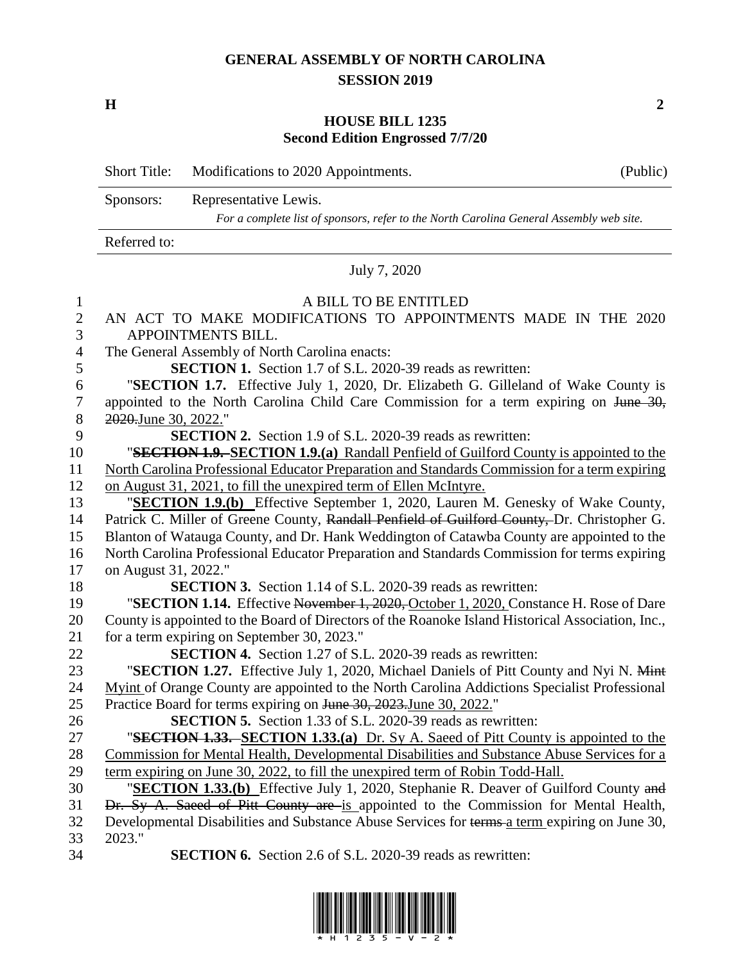## **GENERAL ASSEMBLY OF NORTH CAROLINA SESSION 2019**

**H 2**

## **HOUSE BILL 1235 Second Edition Engrossed 7/7/20**

|                     | <b>Short Title:</b>                                                                           | Modifications to 2020 Appointments.                                                               | (Public) |  |
|---------------------|-----------------------------------------------------------------------------------------------|---------------------------------------------------------------------------------------------------|----------|--|
|                     | Sponsors:                                                                                     | Representative Lewis.                                                                             |          |  |
|                     | For a complete list of sponsors, refer to the North Carolina General Assembly web site.       |                                                                                                   |          |  |
|                     | Referred to:                                                                                  |                                                                                                   |          |  |
|                     | July 7, 2020                                                                                  |                                                                                                   |          |  |
| $\mathbf{1}$        |                                                                                               | A BILL TO BE ENTITLED                                                                             |          |  |
| $\overline{c}$<br>3 | AN ACT TO MAKE MODIFICATIONS TO APPOINTMENTS MADE IN THE 2020<br>APPOINTMENTS BILL.           |                                                                                                   |          |  |
| $\overline{4}$      | The General Assembly of North Carolina enacts:                                                |                                                                                                   |          |  |
| 5                   | <b>SECTION 1.</b> Section 1.7 of S.L. 2020-39 reads as rewritten:                             |                                                                                                   |          |  |
| 6                   |                                                                                               | "SECTION 1.7. Effective July 1, 2020, Dr. Elizabeth G. Gilleland of Wake County is                |          |  |
| $\boldsymbol{7}$    | appointed to the North Carolina Child Care Commission for a term expiring on June 30,         |                                                                                                   |          |  |
| $8\,$               | 2020.June 30, 2022."                                                                          |                                                                                                   |          |  |
| 9                   | <b>SECTION 2.</b> Section 1.9 of S.L. 2020-39 reads as rewritten:                             |                                                                                                   |          |  |
| 10                  | "SECTION 1.9. SECTION 1.9.(a) Randall Penfield of Guilford County is appointed to the         |                                                                                                   |          |  |
| 11                  | North Carolina Professional Educator Preparation and Standards Commission for a term expiring |                                                                                                   |          |  |
| 12                  | on August 31, 2021, to fill the unexpired term of Ellen McIntyre.                             |                                                                                                   |          |  |
| 13                  | "SECTION 1.9.(b) Effective September 1, 2020, Lauren M. Genesky of Wake County,               |                                                                                                   |          |  |
| 14                  | Patrick C. Miller of Greene County, Randall Penfield of Guilford County, Dr. Christopher G.   |                                                                                                   |          |  |
| 15                  | Blanton of Watauga County, and Dr. Hank Weddington of Catawba County are appointed to the     |                                                                                                   |          |  |
| 16                  | North Carolina Professional Educator Preparation and Standards Commission for terms expiring  |                                                                                                   |          |  |
| 17                  | on August 31, 2022."                                                                          |                                                                                                   |          |  |
| 18                  | <b>SECTION 3.</b> Section 1.14 of S.L. 2020-39 reads as rewritten:                            |                                                                                                   |          |  |
| 19                  | "SECTION 1.14. Effective November 1, 2020, October 1, 2020, Constance H. Rose of Dare         |                                                                                                   |          |  |
| 20                  |                                                                                               | County is appointed to the Board of Directors of the Roanoke Island Historical Association, Inc., |          |  |
| 21                  |                                                                                               | for a term expiring on September 30, 2023."                                                       |          |  |
| 22                  | <b>SECTION 4.</b> Section 1.27 of S.L. 2020-39 reads as rewritten:                            |                                                                                                   |          |  |
| 23                  |                                                                                               | "SECTION 1.27. Effective July 1, 2020, Michael Daniels of Pitt County and Nyi N. Mint             |          |  |
| 24                  |                                                                                               | Myint of Orange County are appointed to the North Carolina Addictions Specialist Professional     |          |  |
| 25                  | Practice Board for terms expiring on June 30, 2023. June 30, 2022."                           |                                                                                                   |          |  |
| 26                  | <b>SECTION 5.</b> Section 1.33 of S.L. 2020-39 reads as rewritten:                            |                                                                                                   |          |  |
| 27                  |                                                                                               | "SECTION 1.33. SECTION 1.33.(a) Dr. Sy A. Saeed of Pitt County is appointed to the                |          |  |
| 28                  |                                                                                               | Commission for Mental Health, Developmental Disabilities and Substance Abuse Services for a       |          |  |
| 29                  | term expiring on June 30, 2022, to fill the unexpired term of Robin Todd-Hall.                |                                                                                                   |          |  |
| 30                  | "SECTION 1.33.(b) Effective July 1, 2020, Stephanie R. Deaver of Guilford County and          |                                                                                                   |          |  |
| 31                  |                                                                                               | Dr. Sy A. Saeed of Pitt County are is appointed to the Commission for Mental Health,              |          |  |
| 32                  |                                                                                               | Developmental Disabilities and Substance Abuse Services for terms a term expiring on June 30,     |          |  |
| 33                  | 2023."                                                                                        |                                                                                                   |          |  |
| 34                  |                                                                                               | <b>SECTION 6.</b> Section 2.6 of S.L. 2020-39 reads as rewritten:                                 |          |  |